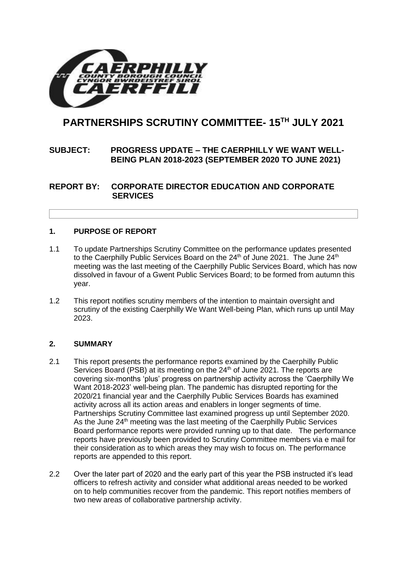

# **PARTNERSHIPS SCRUTINY COMMITTEE- 15TH JULY 2021**

# **SUBJECT: PROGRESS UPDATE – THE CAERPHILLY WE WANT WELL-BEING PLAN 2018-2023 (SEPTEMBER 2020 TO JUNE 2021)**

**REPORT BY: CORPORATE DIRECTOR EDUCATION AND CORPORATE SERVICES**

## **1. PURPOSE OF REPORT**

- 1.1 To update Partnerships Scrutiny Committee on the performance updates presented to the Caerphilly Public Services Board on the  $24<sup>th</sup>$  of June 2021. The June  $24<sup>th</sup>$ meeting was the last meeting of the Caerphilly Public Services Board, which has now dissolved in favour of a Gwent Public Services Board; to be formed from autumn this year.
- 1.2 This report notifies scrutiny members of the intention to maintain oversight and scrutiny of the existing Caerphilly We Want Well-being Plan, which runs up until May 2023.

#### **2. SUMMARY**

- 2.1 This report presents the performance reports examined by the Caerphilly Public Services Board (PSB) at its meeting on the 24<sup>th</sup> of June 2021. The reports are covering six-months 'plus' progress on partnership activity across the 'Caerphilly We Want 2018-2023' well-being plan. The pandemic has disrupted reporting for the 2020/21 financial year and the Caerphilly Public Services Boards has examined activity across all its action areas and enablers in longer segments of time. Partnerships Scrutiny Committee last examined progress up until September 2020. As the June 24<sup>th</sup> meeting was the last meeting of the Caerphilly Public Services Board performance reports were provided running up to that date. The performance reports have previously been provided to Scrutiny Committee members via e mail for their consideration as to which areas they may wish to focus on. The performance reports are appended to this report.
- 2.2 Over the later part of 2020 and the early part of this year the PSB instructed it's lead officers to refresh activity and consider what additional areas needed to be worked on to help communities recover from the pandemic. This report notifies members of two new areas of collaborative partnership activity.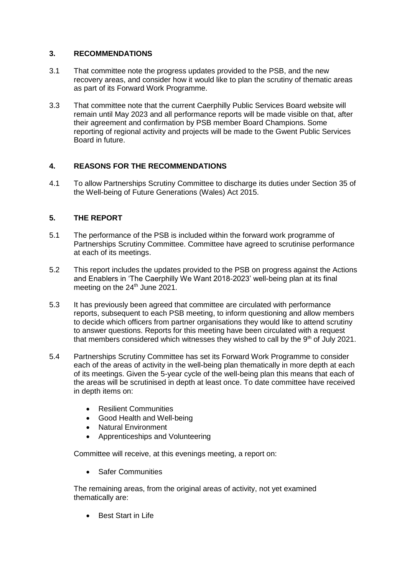# **3. RECOMMENDATIONS**

- 3.1 That committee note the progress updates provided to the PSB, and the new recovery areas, and consider how it would like to plan the scrutiny of thematic areas as part of its Forward Work Programme.
- 3.3 That committee note that the current Caerphilly Public Services Board website will remain until May 2023 and all performance reports will be made visible on that, after their agreement and confirmation by PSB member Board Champions. Some reporting of regional activity and projects will be made to the Gwent Public Services Board in future.

# **4. REASONS FOR THE RECOMMENDATIONS**

4.1 To allow Partnerships Scrutiny Committee to discharge its duties under Section 35 of the Well-being of Future Generations (Wales) Act 2015.

## **5. THE REPORT**

- 5.1 The performance of the PSB is included within the forward work programme of Partnerships Scrutiny Committee. Committee have agreed to scrutinise performance at each of its meetings.
- 5.2 This report includes the updates provided to the PSB on progress against the Actions and Enablers in 'The Caerphilly We Want 2018-2023' well-being plan at its final meeting on the 24<sup>th</sup> June 2021.
- 5.3 It has previously been agreed that committee are circulated with performance reports, subsequent to each PSB meeting, to inform questioning and allow members to decide which officers from partner organisations they would like to attend scrutiny to answer questions. Reports for this meeting have been circulated with a request that members considered which witnesses they wished to call by the 9<sup>th</sup> of July 2021.
- 5.4 Partnerships Scrutiny Committee has set its Forward Work Programme to consider each of the areas of activity in the well-being plan thematically in more depth at each of its meetings. Given the 5-year cycle of the well-being plan this means that each of the areas will be scrutinised in depth at least once. To date committee have received in depth items on:
	- Resilient Communities
	- Good Health and Well-being
	- Natural Environment
	- Apprenticeships and Volunteering

Committee will receive, at this evenings meeting, a report on:

• Safer Communities

The remaining areas, from the original areas of activity, not yet examined thematically are:

• Best Start in Life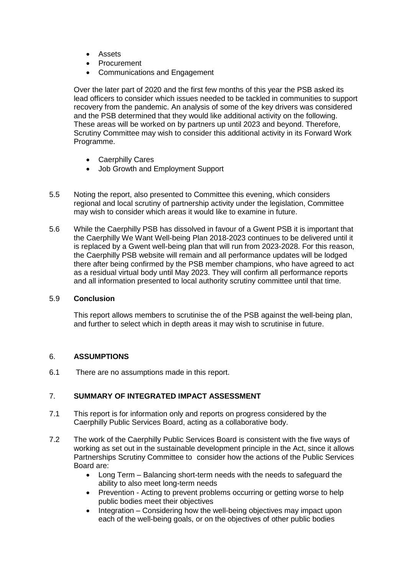- Assets
- **Procurement**
- Communications and Engagement

Over the later part of 2020 and the first few months of this year the PSB asked its lead officers to consider which issues needed to be tackled in communities to support recovery from the pandemic. An analysis of some of the key drivers was considered and the PSB determined that they would like additional activity on the following. These areas will be worked on by partners up until 2023 and beyond. Therefore, Scrutiny Committee may wish to consider this additional activity in its Forward Work Programme.

- Caerphilly Cares
- Job Growth and Employment Support
- 5.5 Noting the report, also presented to Committee this evening, which considers regional and local scrutiny of partnership activity under the legislation, Committee may wish to consider which areas it would like to examine in future.
- 5.6 While the Caerphilly PSB has dissolved in favour of a Gwent PSB it is important that the Caerphilly We Want Well-being Plan 2018-2023 continues to be delivered until it is replaced by a Gwent well-being plan that will run from 2023-2028. For this reason, the Caerphilly PSB website will remain and all performance updates will be lodged there after being confirmed by the PSB member champions, who have agreed to act as a residual virtual body until May 2023. They will confirm all performance reports and all information presented to local authority scrutiny committee until that time.

#### 5.9 **Conclusion**

This report allows members to scrutinise the of the PSB against the well-being plan, and further to select which in depth areas it may wish to scrutinise in future.

#### 6. **ASSUMPTIONS**

6.1 There are no assumptions made in this report.

#### 7. **SUMMARY OF INTEGRATED IMPACT ASSESSMENT**

- 7.1 This report is for information only and reports on progress considered by the Caerphilly Public Services Board, acting as a collaborative body.
- 7.2 The work of the Caerphilly Public Services Board is consistent with the five ways of working as set out in the sustainable development principle in the Act, since it allows Partnerships Scrutiny Committee to consider how the actions of the Public Services Board are:
	- Long Term Balancing short-term needs with the needs to safeguard the ability to also meet long-term needs
	- Prevention Acting to prevent problems occurring or getting worse to help public bodies meet their objectives
	- Integration Considering how the well-being objectives may impact upon each of the well-being goals, or on the objectives of other public bodies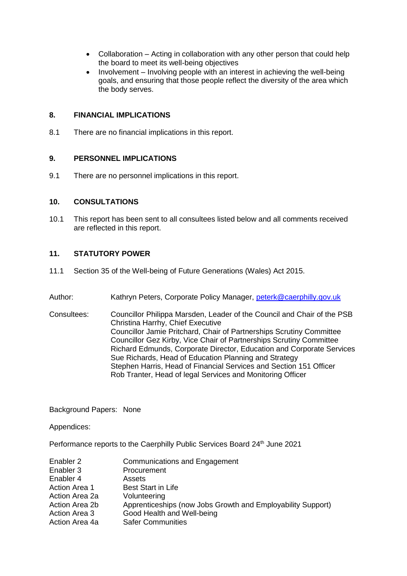- Collaboration Acting in collaboration with any other person that could help the board to meet its well-being objectives
- Involvement Involving people with an interest in achieving the well-being goals, and ensuring that those people reflect the diversity of the area which the body serves.

#### **8. FINANCIAL IMPLICATIONS**

8.1 There are no financial implications in this report.

#### **9. PERSONNEL IMPLICATIONS**

9.1 There are no personnel implications in this report.

#### **10. CONSULTATIONS**

10.1 This report has been sent to all consultees listed below and all comments received are reflected in this report.

#### **11. STATUTORY POWER**

- 11.1 Section 35 of the Well-being of Future Generations (Wales) Act 2015.
- Author: Kathryn Peters, Corporate Policy Manager, [peterk@caerphilly.gov.uk](mailto:peterk@caerphilly.gov.uk)
- Consultees: Councillor Philippa Marsden, Leader of the Council and Chair of the PSB Christina Harrhy, Chief Executive Councillor Jamie Pritchard, Chair of Partnerships Scrutiny Committee Councillor Gez Kirby, Vice Chair of Partnerships Scrutiny Committee Richard Edmunds, Corporate Director, Education and Corporate Services Sue Richards, Head of Education Planning and Strategy Stephen Harris, Head of Financial Services and Section 151 Officer Rob Tranter, Head of legal Services and Monitoring Officer

Background Papers: None

Appendices:

Performance reports to the Caerphilly Public Services Board 24<sup>th</sup> June 2021

| Enabler 2            | <b>Communications and Engagement</b>                        |
|----------------------|-------------------------------------------------------------|
| Enabler 3            | Procurement                                                 |
| Enabler 4            | Assets                                                      |
| <b>Action Area 1</b> | <b>Best Start in Life</b>                                   |
| Action Area 2a       | Volunteering                                                |
| Action Area 2b       | Apprenticeships (now Jobs Growth and Employability Support) |
| Action Area 3        | Good Health and Well-being                                  |
| Action Area 4a       | <b>Safer Communities</b>                                    |